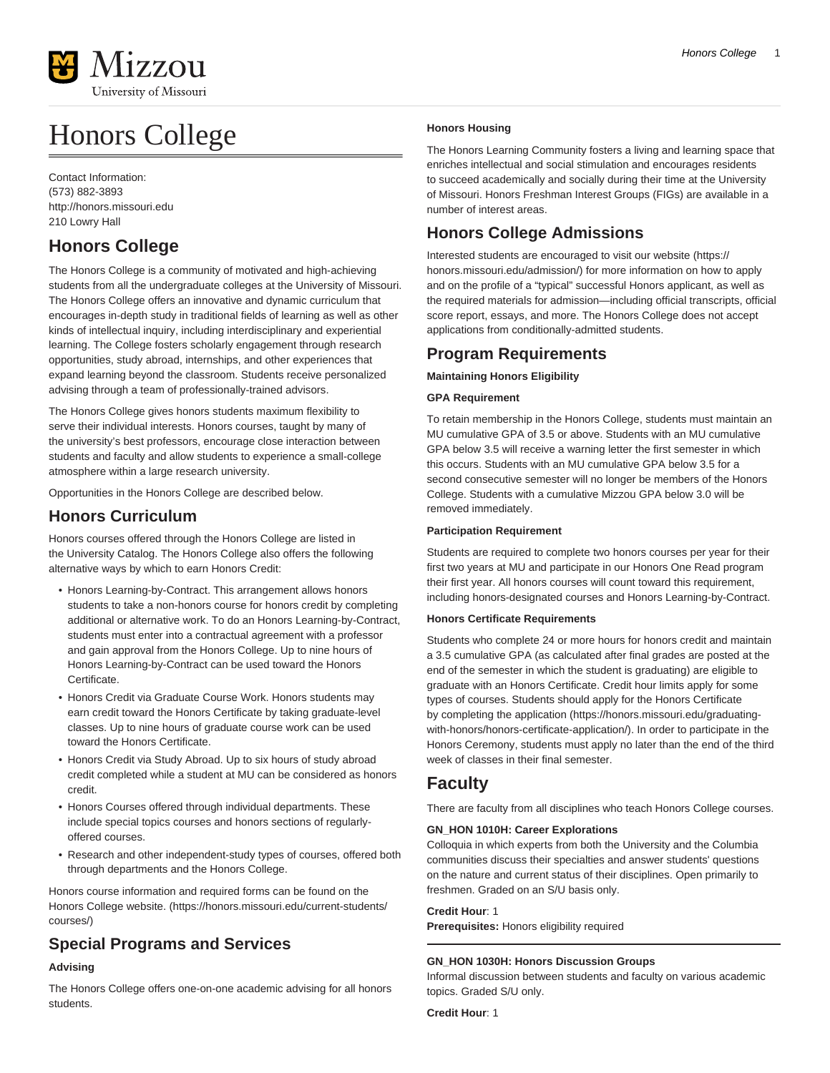

# Honors College

Contact Information: (573) 882-3893 <http://honors.missouri.edu> 210 Lowry Hall

# **Honors College**

The Honors College is a community of motivated and high-achieving students from all the undergraduate colleges at the University of Missouri. The Honors College offers an innovative and dynamic curriculum that encourages in-depth study in traditional fields of learning as well as other kinds of intellectual inquiry, including interdisciplinary and experiential learning. The College fosters scholarly engagement through research opportunities, study abroad, internships, and other experiences that expand learning beyond the classroom. Students receive personalized advising through a team of professionally-trained advisors.

The Honors College gives honors students maximum flexibility to serve their individual interests. Honors courses, taught by many of the university's best professors, encourage close interaction between students and faculty and allow students to experience a small-college atmosphere within a large research university.

Opportunities in the Honors College are described below.

# **Honors Curriculum**

Honors courses offered through the Honors College are listed in the University Catalog. The Honors College also offers the following alternative ways by which to earn Honors Credit:

- Honors Learning-by-Contract. This arrangement allows honors students to take a non-honors course for honors credit by completing additional or alternative work. To do an Honors Learning-by-Contract, students must enter into a contractual agreement with a professor and gain approval from the Honors College. Up to nine hours of Honors Learning-by-Contract can be used toward the Honors Certificate.
- Honors Credit via Graduate Course Work. Honors students may earn credit toward the Honors Certificate by taking graduate-level classes. Up to nine hours of graduate course work can be used toward the Honors Certificate.
- Honors Credit via Study Abroad. Up to six hours of study abroad credit completed while a student at MU can be considered as honors credit.
- Honors Courses offered through individual departments. These include special topics courses and honors sections of regularlyoffered courses.
- Research and other independent-study types of courses, offered both through departments and the Honors College.

Honors course information and required forms can be found on the [Honors College website.](https://honors.missouri.edu/current-students/courses/) ([https://honors.missouri.edu/current-students/](https://honors.missouri.edu/current-students/courses/) [courses/](https://honors.missouri.edu/current-students/courses/))

# **Special Programs and Services**

# **Advising**

The Honors College offers one-on-one academic advising for all honors students.

# **Honors Housing**

The Honors Learning Community fosters a living and learning space that enriches intellectual and social stimulation and encourages residents to succeed academically and socially during their time at the University of Missouri. Honors Freshman Interest Groups (FIGs) are available in a number of interest areas.

# **Honors College Admissions**

Interested students are encouraged to visit our [website](https://honors.missouri.edu/admission/) [\(https://](https://honors.missouri.edu/admission/) [honors.missouri.edu/admission/](https://honors.missouri.edu/admission/)) for more information on how to apply and on the profile of a "typical" successful Honors applicant, as well as the required materials for admission—including official transcripts, official score report, essays, and more. The Honors College does not accept applications from conditionally-admitted students.

# **Program Requirements**

# **Maintaining Honors Eligibility**

# **GPA Requirement**

To retain membership in the Honors College, students must maintain an MU cumulative GPA of 3.5 or above. Students with an MU cumulative GPA below 3.5 will receive a warning letter the first semester in which this occurs. Students with an MU cumulative GPA below 3.5 for a second consecutive semester will no longer be members of the Honors College. Students with a cumulative Mizzou GPA below 3.0 will be removed immediately.

# **Participation Requirement**

Students are required to complete two honors courses per year for their first two years at MU and participate in our Honors One Read program their first year. All honors courses will count toward this requirement, including honors-designated courses and Honors Learning-by-Contract.

# **Honors Certificate Requirements**

Students who complete 24 or more hours for honors credit and maintain a 3.5 cumulative GPA (as calculated after final grades are posted at the end of the semester in which the student is graduating) are eligible to graduate with an Honors Certificate. Credit hour limits apply for some types of courses. Students should apply for the Honors Certificate by [completing the application](https://honors.missouri.edu/graduating-with-honors/honors-certificate-application/) [\(https://honors.missouri.edu/graduating](https://honors.missouri.edu/graduating-with-honors/honors-certificate-application/)[with-honors/honors-certificate-application/](https://honors.missouri.edu/graduating-with-honors/honors-certificate-application/)). In order to participate in the Honors Ceremony, students must apply no later than the end of the third week of classes in their final semester.

# **Faculty**

There are faculty from all disciplines who teach Honors College courses.

# **GN\_HON 1010H: Career Explorations**

Colloquia in which experts from both the University and the Columbia communities discuss their specialties and answer students' questions on the nature and current status of their disciplines. Open primarily to freshmen. Graded on an S/U basis only.

#### **Credit Hour**: 1

**Prerequisites:** Honors eligibility required

# **GN\_HON 1030H: Honors Discussion Groups**

Informal discussion between students and faculty on various academic topics. Graded S/U only.

**Credit Hour**: 1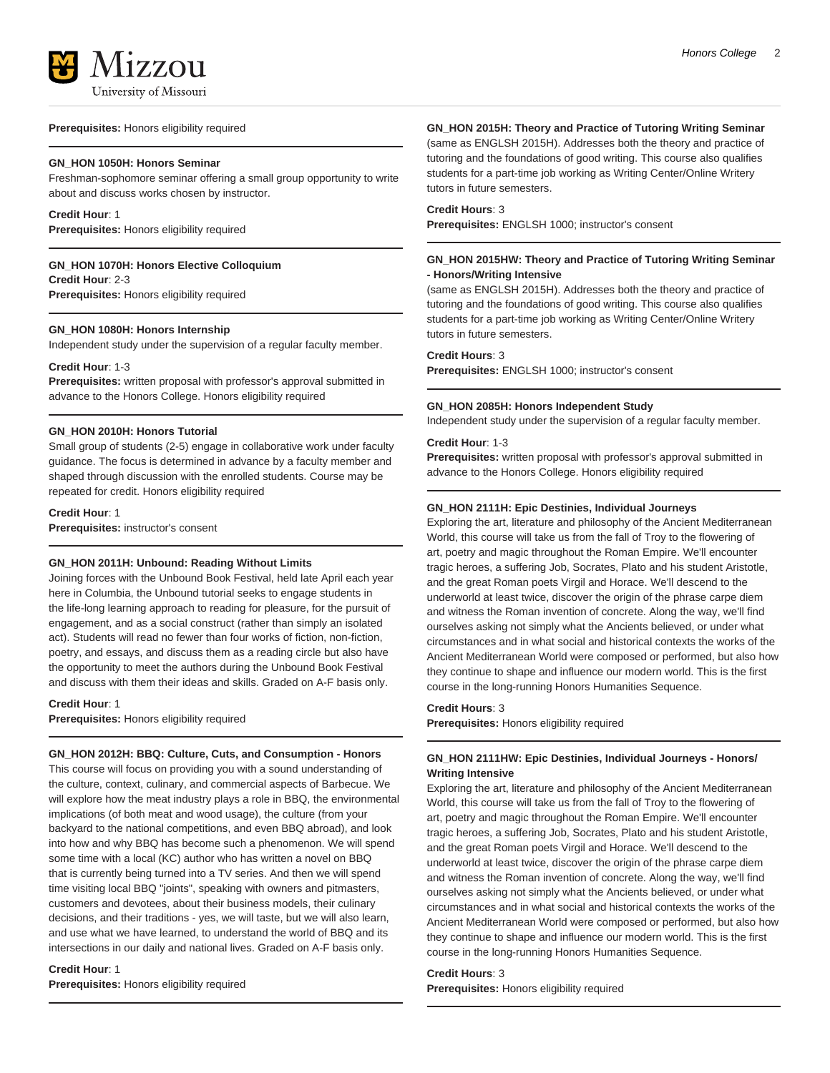

**Prerequisites:** Honors eligibility required

#### **GN\_HON 1050H: Honors Seminar**

Freshman-sophomore seminar offering a small group opportunity to write about and discuss works chosen by instructor.

**Credit Hour**: 1 **Prerequisites:** Honors eligibility required

**GN\_HON 1070H: Honors Elective Colloquium Credit Hour**: 2-3

**Prerequisites:** Honors eligibility required

#### **GN\_HON 1080H: Honors Internship**

Independent study under the supervision of a regular faculty member.

#### **Credit Hour**: 1-3

**Prerequisites:** written proposal with professor's approval submitted in advance to the Honors College. Honors eligibility required

#### **GN\_HON 2010H: Honors Tutorial**

Small group of students (2-5) engage in collaborative work under faculty guidance. The focus is determined in advance by a faculty member and shaped through discussion with the enrolled students. Course may be repeated for credit. Honors eligibility required

**Credit Hour**: 1

**Prerequisites:** instructor's consent

# **GN\_HON 2011H: Unbound: Reading Without Limits**

Joining forces with the Unbound Book Festival, held late April each year here in Columbia, the Unbound tutorial seeks to engage students in the life-long learning approach to reading for pleasure, for the pursuit of engagement, and as a social construct (rather than simply an isolated act). Students will read no fewer than four works of fiction, non-fiction, poetry, and essays, and discuss them as a reading circle but also have the opportunity to meet the authors during the Unbound Book Festival and discuss with them their ideas and skills. Graded on A-F basis only.

#### **Credit Hour**: 1

**Prerequisites:** Honors eligibility required

# **GN\_HON 2012H: BBQ: Culture, Cuts, and Consumption - Honors**

This course will focus on providing you with a sound understanding of the culture, context, culinary, and commercial aspects of Barbecue. We will explore how the meat industry plays a role in BBQ, the environmental implications (of both meat and wood usage), the culture (from your backyard to the national competitions, and even BBQ abroad), and look into how and why BBQ has become such a phenomenon. We will spend some time with a local (KC) author who has written a novel on BBQ that is currently being turned into a TV series. And then we will spend time visiting local BBQ "joints", speaking with owners and pitmasters, customers and devotees, about their business models, their culinary decisions, and their traditions - yes, we will taste, but we will also learn, and use what we have learned, to understand the world of BBQ and its intersections in our daily and national lives. Graded on A-F basis only.

**Credit Hour**: 1 **Prerequisites:** Honors eligibility required

#### **GN\_HON 2015H: Theory and Practice of Tutoring Writing Seminar**

(same as ENGLSH 2015H). Addresses both the theory and practice of tutoring and the foundations of good writing. This course also qualifies students for a part-time job working as Writing Center/Online Writery tutors in future semesters.

#### **Credit Hours**: 3

**Prerequisites:** ENGLSH 1000; instructor's consent

#### **GN\_HON 2015HW: Theory and Practice of Tutoring Writing Seminar - Honors/Writing Intensive**

(same as ENGLSH 2015H). Addresses both the theory and practice of tutoring and the foundations of good writing. This course also qualifies students for a part-time job working as Writing Center/Online Writery tutors in future semesters.

#### **Credit Hours**: 3

**Prerequisites:** ENGLSH 1000; instructor's consent

#### **GN\_HON 2085H: Honors Independent Study**

Independent study under the supervision of a regular faculty member.

#### **Credit Hour**: 1-3

**Prerequisites:** written proposal with professor's approval submitted in advance to the Honors College. Honors eligibility required

#### **GN\_HON 2111H: Epic Destinies, Individual Journeys**

Exploring the art, literature and philosophy of the Ancient Mediterranean World, this course will take us from the fall of Troy to the flowering of art, poetry and magic throughout the Roman Empire. We'll encounter tragic heroes, a suffering Job, Socrates, Plato and his student Aristotle, and the great Roman poets Virgil and Horace. We'll descend to the underworld at least twice, discover the origin of the phrase carpe diem and witness the Roman invention of concrete. Along the way, we'll find ourselves asking not simply what the Ancients believed, or under what circumstances and in what social and historical contexts the works of the Ancient Mediterranean World were composed or performed, but also how they continue to shape and influence our modern world. This is the first course in the long-running Honors Humanities Sequence.

#### **Credit Hours**: 3

**Prerequisites:** Honors eligibility required

# **GN\_HON 2111HW: Epic Destinies, Individual Journeys - Honors/ Writing Intensive**

Exploring the art, literature and philosophy of the Ancient Mediterranean World, this course will take us from the fall of Troy to the flowering of art, poetry and magic throughout the Roman Empire. We'll encounter tragic heroes, a suffering Job, Socrates, Plato and his student Aristotle, and the great Roman poets Virgil and Horace. We'll descend to the underworld at least twice, discover the origin of the phrase carpe diem and witness the Roman invention of concrete. Along the way, we'll find ourselves asking not simply what the Ancients believed, or under what circumstances and in what social and historical contexts the works of the Ancient Mediterranean World were composed or performed, but also how they continue to shape and influence our modern world. This is the first course in the long-running Honors Humanities Sequence.

# **Credit Hours**: 3

**Prerequisites:** Honors eligibility required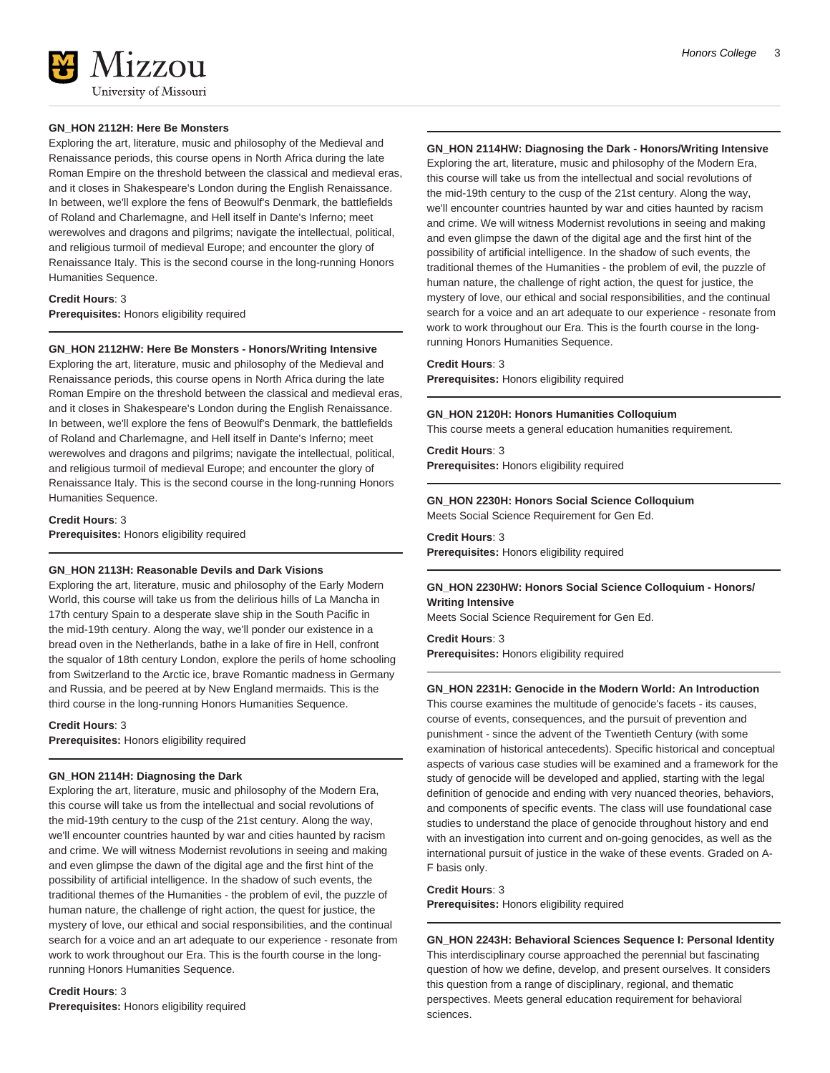

#### **GN\_HON 2112H: Here Be Monsters**

Exploring the art, literature, music and philosophy of the Medieval and Renaissance periods, this course opens in North Africa during the late Roman Empire on the threshold between the classical and medieval eras, and it closes in Shakespeare's London during the English Renaissance. In between, we'll explore the fens of Beowulf's Denmark, the battlefields of Roland and Charlemagne, and Hell itself in Dante's Inferno; meet werewolves and dragons and pilgrims; navigate the intellectual, political, and religious turmoil of medieval Europe; and encounter the glory of Renaissance Italy. This is the second course in the long-running Honors Humanities Sequence.

**Credit Hours**: 3 **Prerequisites:** Honors eligibility required

#### **GN\_HON 2112HW: Here Be Monsters - Honors/Writing Intensive**

Exploring the art, literature, music and philosophy of the Medieval and Renaissance periods, this course opens in North Africa during the late Roman Empire on the threshold between the classical and medieval eras, and it closes in Shakespeare's London during the English Renaissance. In between, we'll explore the fens of Beowulf's Denmark, the battlefields of Roland and Charlemagne, and Hell itself in Dante's Inferno; meet werewolves and dragons and pilgrims; navigate the intellectual, political, and religious turmoil of medieval Europe; and encounter the glory of Renaissance Italy. This is the second course in the long-running Honors Humanities Sequence.

**Credit Hours**: 3 **Prerequisites:** Honors eligibility required

### **GN\_HON 2113H: Reasonable Devils and Dark Visions**

Exploring the art, literature, music and philosophy of the Early Modern World, this course will take us from the delirious hills of La Mancha in 17th century Spain to a desperate slave ship in the South Pacific in the mid-19th century. Along the way, we'll ponder our existence in a bread oven in the Netherlands, bathe in a lake of fire in Hell, confront the squalor of 18th century London, explore the perils of home schooling from Switzerland to the Arctic ice, brave Romantic madness in Germany and Russia, and be peered at by New England mermaids. This is the third course in the long-running Honors Humanities Sequence.

**Credit Hours**: 3

**Prerequisites:** Honors eligibility required

#### **GN\_HON 2114H: Diagnosing the Dark**

Exploring the art, literature, music and philosophy of the Modern Era, this course will take us from the intellectual and social revolutions of the mid-19th century to the cusp of the 21st century. Along the way, we'll encounter countries haunted by war and cities haunted by racism and crime. We will witness Modernist revolutions in seeing and making and even glimpse the dawn of the digital age and the first hint of the possibility of artificial intelligence. In the shadow of such events, the traditional themes of the Humanities - the problem of evil, the puzzle of human nature, the challenge of right action, the quest for justice, the mystery of love, our ethical and social responsibilities, and the continual search for a voice and an art adequate to our experience - resonate from work to work throughout our Era. This is the fourth course in the longrunning Honors Humanities Sequence.

**Credit Hours**: 3 **Prerequisites:** Honors eligibility required

# **GN\_HON 2114HW: Diagnosing the Dark - Honors/Writing Intensive**

Exploring the art, literature, music and philosophy of the Modern Era, this course will take us from the intellectual and social revolutions of the mid-19th century to the cusp of the 21st century. Along the way, we'll encounter countries haunted by war and cities haunted by racism and crime. We will witness Modernist revolutions in seeing and making and even glimpse the dawn of the digital age and the first hint of the possibility of artificial intelligence. In the shadow of such events, the traditional themes of the Humanities - the problem of evil, the puzzle of human nature, the challenge of right action, the quest for justice, the mystery of love, our ethical and social responsibilities, and the continual search for a voice and an art adequate to our experience - resonate from work to work throughout our Era. This is the fourth course in the longrunning Honors Humanities Sequence.

#### **Credit Hours**: 3

**Prerequisites:** Honors eligibility required

#### **GN\_HON 2120H: Honors Humanities Colloquium**

This course meets a general education humanities requirement.

# **Credit Hours**: 3

**Prerequisites:** Honors eligibility required

#### **GN\_HON 2230H: Honors Social Science Colloquium** Meets Social Science Requirement for Gen Ed.

**Credit Hours**: 3

**Prerequisites:** Honors eligibility required

# **GN\_HON 2230HW: Honors Social Science Colloquium - Honors/ Writing Intensive**

Meets Social Science Requirement for Gen Ed.

**Credit Hours**: 3

**Prerequisites:** Honors eligibility required

#### **GN\_HON 2231H: Genocide in the Modern World: An Introduction**

This course examines the multitude of genocide's facets - its causes, course of events, consequences, and the pursuit of prevention and punishment - since the advent of the Twentieth Century (with some examination of historical antecedents). Specific historical and conceptual aspects of various case studies will be examined and a framework for the study of genocide will be developed and applied, starting with the legal definition of genocide and ending with very nuanced theories, behaviors, and components of specific events. The class will use foundational case studies to understand the place of genocide throughout history and end with an investigation into current and on-going genocides, as well as the international pursuit of justice in the wake of these events. Graded on A-F basis only.

#### **Credit Hours**: 3

**Prerequisites:** Honors eligibility required

**GN\_HON 2243H: Behavioral Sciences Sequence I: Personal Identity** This interdisciplinary course approached the perennial but fascinating question of how we define, develop, and present ourselves. It considers this question from a range of disciplinary, regional, and thematic perspectives. Meets general education requirement for behavioral sciences.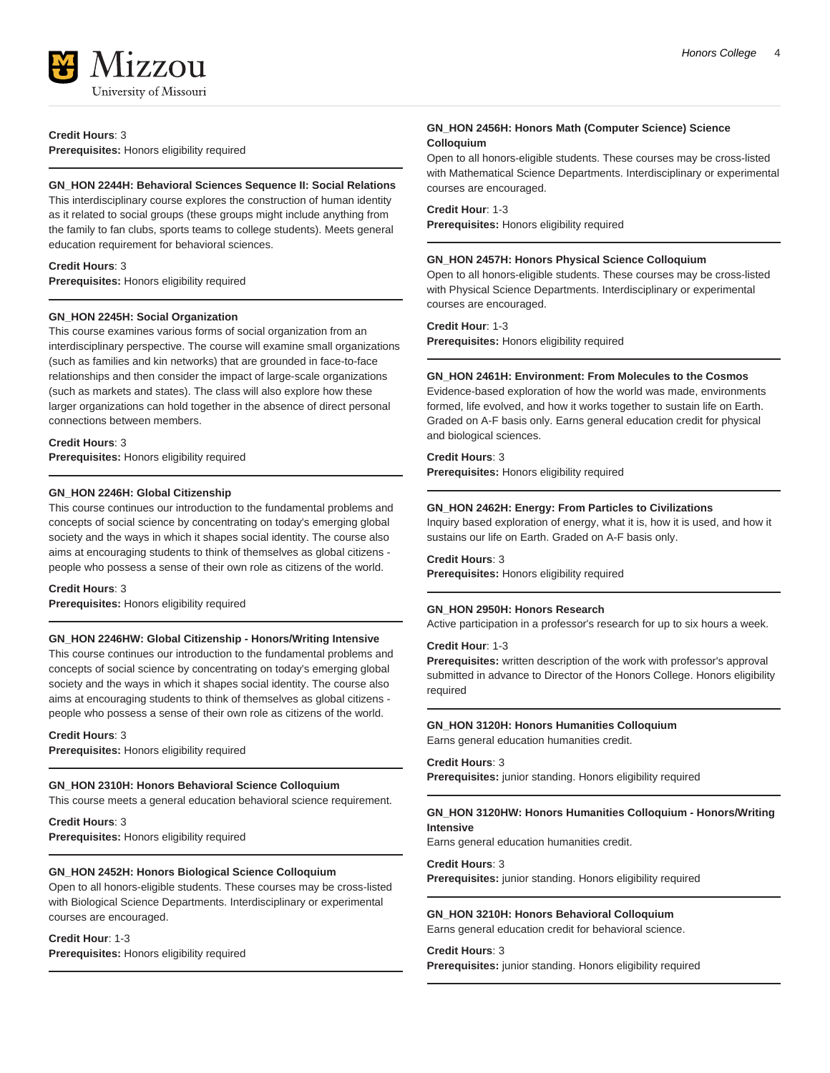

**Credit Hours**: 3

**Prerequisites:** Honors eligibility required

#### **GN\_HON 2244H: Behavioral Sciences Sequence II: Social Relations**

This interdisciplinary course explores the construction of human identity as it related to social groups (these groups might include anything from the family to fan clubs, sports teams to college students). Meets general education requirement for behavioral sciences.

#### **Credit Hours**: 3

**Prerequisites:** Honors eligibility required

#### **GN\_HON 2245H: Social Organization**

This course examines various forms of social organization from an interdisciplinary perspective. The course will examine small organizations (such as families and kin networks) that are grounded in face-to-face relationships and then consider the impact of large-scale organizations (such as markets and states). The class will also explore how these larger organizations can hold together in the absence of direct personal connections between members.

#### **Credit Hours**: 3

**Prerequisites:** Honors eligibility required

#### **GN\_HON 2246H: Global Citizenship**

This course continues our introduction to the fundamental problems and concepts of social science by concentrating on today's emerging global society and the ways in which it shapes social identity. The course also aims at encouraging students to think of themselves as global citizens people who possess a sense of their own role as citizens of the world.

#### **Credit Hours**: 3

**Prerequisites:** Honors eligibility required

#### **GN\_HON 2246HW: Global Citizenship - Honors/Writing Intensive**

This course continues our introduction to the fundamental problems and concepts of social science by concentrating on today's emerging global society and the ways in which it shapes social identity. The course also aims at encouraging students to think of themselves as global citizens people who possess a sense of their own role as citizens of the world.

#### **Credit Hours**: 3

**Prerequisites:** Honors eligibility required

#### **GN\_HON 2310H: Honors Behavioral Science Colloquium**

This course meets a general education behavioral science requirement.

**Credit Hours**: 3 **Prerequisites:** Honors eligibility required

### **GN\_HON 2452H: Honors Biological Science Colloquium**

Open to all honors-eligible students. These courses may be cross-listed with Biological Science Departments. Interdisciplinary or experimental courses are encouraged.

#### **Credit Hour**: 1-3

**Prerequisites:** Honors eligibility required

# **GN\_HON 2456H: Honors Math (Computer Science) Science Colloquium**

Open to all honors-eligible students. These courses may be cross-listed with Mathematical Science Departments. Interdisciplinary or experimental courses are encouraged.

#### **Credit Hour**: 1-3

**Prerequisites:** Honors eligibility required

#### **GN\_HON 2457H: Honors Physical Science Colloquium**

Open to all honors-eligible students. These courses may be cross-listed with Physical Science Departments. Interdisciplinary or experimental courses are encouraged.

**Credit Hour**: 1-3

**Prerequisites:** Honors eligibility required

#### **GN\_HON 2461H: Environment: From Molecules to the Cosmos**

Evidence-based exploration of how the world was made, environments formed, life evolved, and how it works together to sustain life on Earth. Graded on A-F basis only. Earns general education credit for physical and biological sciences.

# **Credit Hours**: 3

**Prerequisites:** Honors eligibility required

#### **GN\_HON 2462H: Energy: From Particles to Civilizations**

Inquiry based exploration of energy, what it is, how it is used, and how it sustains our life on Earth. Graded on A-F basis only.

#### **Credit Hours**: 3

**Prerequisites:** Honors eligibility required

#### **GN\_HON 2950H: Honors Research**

Active participation in a professor's research for up to six hours a week.

# **Credit Hour**: 1-3

**Prerequisites:** written description of the work with professor's approval submitted in advance to Director of the Honors College. Honors eligibility required

#### **GN\_HON 3120H: Honors Humanities Colloquium**

Earns general education humanities credit.

#### **Credit Hours**: 3

**Prerequisites:** junior standing. Honors eligibility required

#### **GN\_HON 3120HW: Honors Humanities Colloquium - Honors/Writing Intensive**

Earns general education humanities credit.

#### **Credit Hours**: 3

**Prerequisites:** junior standing. Honors eligibility required

#### **GN\_HON 3210H: Honors Behavioral Colloquium**

Earns general education credit for behavioral science.

#### **Credit Hours**: 3

**Prerequisites:** junior standing. Honors eligibility required